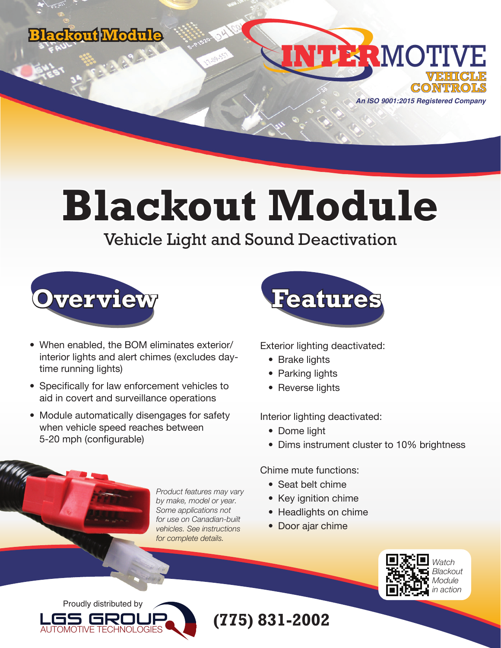



**Blackout Module**

Vehicle Light and Sound Deactivation



- When enabled, the BOM eliminates exterior/ interior lights and alert chimes (excludes daytime running lights)
- Specifically for law enforcement vehicles to aid in covert and surveillance operations
- Module automatically disengages for safety when vehicle speed reaches between 5-20 mph (configurable)

*Product features may vary by make, model or year. Some applications not for use on Canadian-built vehicles. See instructions for complete details.*



Exterior lighting deactivated:

- Brake lights
- Parking lights
- Reverse lights

Interior lighting deactivated:

- Dome light
- Dims instrument cluster to 10% brightness

Chime mute functions:

- Seat belt chime
- Key ignition chime
- Headlights on chime
- Door ajar chime



Proudly distributed by



**(775) 831-2002**